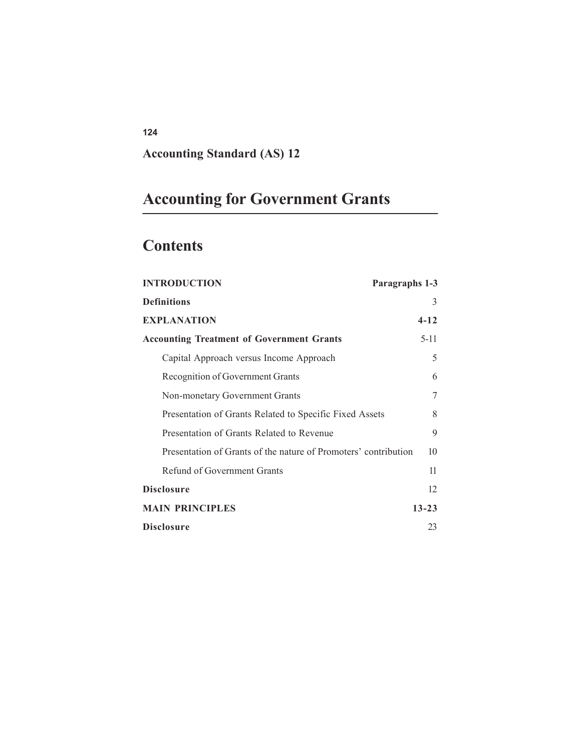## **Accounting Standard (AS) 12**

# **Accounting for Government Grants**

## **Contents**

| <b>INTRODUCTION</b><br>Paragraphs 1-3                           |           |
|-----------------------------------------------------------------|-----------|
| <b>Definitions</b>                                              | 3         |
| <b>EXPLANATION</b>                                              | $4 - 12$  |
| <b>Accounting Treatment of Government Grants</b>                | $5-11$    |
| Capital Approach versus Income Approach                         | 5         |
| Recognition of Government Grants                                | 6         |
| Non-monetary Government Grants                                  | 7         |
| Presentation of Grants Related to Specific Fixed Assets         | 8         |
| Presentation of Grants Related to Revenue                       | 9         |
| Presentation of Grants of the nature of Promoters' contribution | 10        |
| Refund of Government Grants                                     | 11        |
| Disclosure                                                      | 12        |
| <b>MAIN PRINCIPLES</b>                                          | $13 - 23$ |
| Disclosure                                                      | 23        |

**124**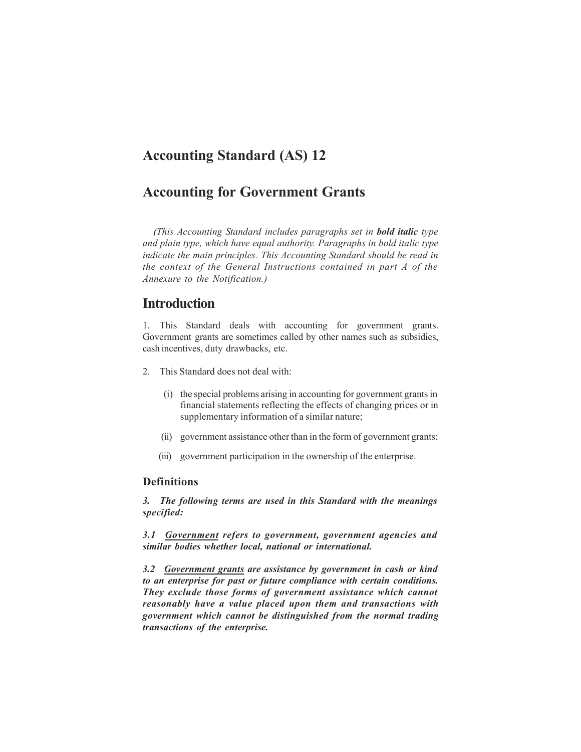## **Accounting Standard (AS) 12**

## **Accounting for Government Grants**

*(This Accounting Standard includes paragraphs set in bold italic type and plain type, which have equal authority. Paragraphs in bold italic type indicate the main principles. This Accounting Standard should be read in the context of the General Instructions contained in part A of the Annexure to the Notification.)*

## **Introduction**

1. This Standard deals with accounting for government grants. Government grants are sometimes called by other names such as subsidies, cash incentives, duty drawbacks, etc.

- 2. This Standard does not deal with:
	- (i) the special problems arising in accounting for government grants in financial statements reflecting the effects of changing prices or in supplementary information of a similar nature;
	- (ii) government assistance other than in the form of government grants;
	- (iii) government participation in the ownership of the enterprise.

#### **Definitions**

*3. The following terms are used in this Standard with the meanings specified:*

*3.1 Government refers to government, government agencies and similar bodies whether local, national or international.*

*3.2 Government grants are assistance by government in cash or kind to an enterprise for past or future compliance with certain conditions. They exclude those forms of government assistance which cannot reasonably have a value placed upon them and transactions with government which cannot be distinguished from the normal trading transactions of the enterprise.*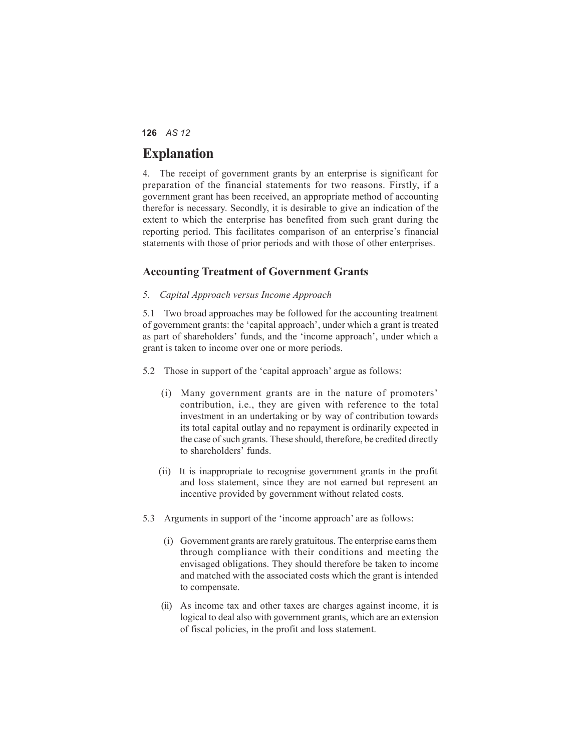## **Explanation**

4. The receipt of government grants by an enterprise is significant for preparation of the financial statements for two reasons. Firstly, if a government grant has been received, an appropriate method of accounting therefor is necessary. Secondly, it is desirable to give an indication of the extent to which the enterprise has benefited from such grant during the reporting period. This facilitates comparison of an enterprise's financial statements with those of prior periods and with those of other enterprises.

#### **Accounting Treatment of Government Grants**

#### *5. Capital Approach versus Income Approach*

5.1 Two broad approaches may be followed for the accounting treatment of government grants: the 'capital approach', under which a grant is treated as part of shareholders' funds, and the 'income approach', under which a grant is taken to income over one or more periods.

- 5.2 Those in support of the 'capital approach' argue as follows:
	- (i) Many government grants are in the nature of promoters' contribution, i.e., they are given with reference to the total investment in an undertaking or by way of contribution towards its total capital outlay and no repayment is ordinarily expected in the case of such grants. These should, therefore, be credited directly to shareholders' funds.
	- (ii) It is inappropriate to recognise government grants in the profit and loss statement, since they are not earned but represent an incentive provided by government without related costs.
- 5.3 Arguments in support of the 'income approach' are as follows:
	- (i) Government grants are rarely gratuitous. The enterprise earns them through compliance with their conditions and meeting the envisaged obligations. They should therefore be taken to income and matched with the associated costs which the grant is intended to compensate.
	- (ii) As income tax and other taxes are charges against income, it is logical to deal also with government grants, which are an extension of fiscal policies, in the profit and loss statement.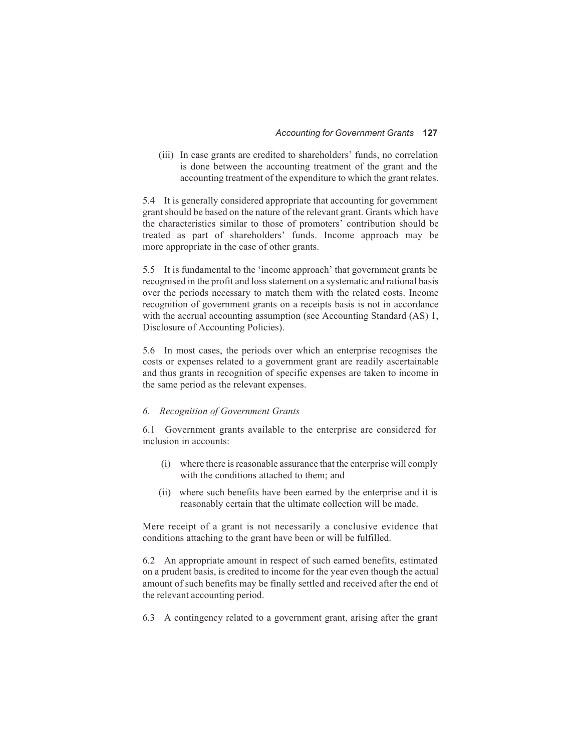(iii) In case grants are credited to shareholders' funds, no correlation is done between the accounting treatment of the grant and the accounting treatment of the expenditure to which the grant relates.

5.4 It is generally considered appropriate that accounting for government grant should be based on the nature of the relevant grant. Grants which have the characteristics similar to those of promoters' contribution should be treated as part of shareholders' funds. Income approach may be more appropriate in the case of other grants.

5.5 It is fundamental to the 'income approach' that government grants be recognised in the profit and loss statement on a systematic and rational basis over the periods necessary to match them with the related costs. Income recognition of government grants on a receipts basis is not in accordance with the accrual accounting assumption (see Accounting Standard (AS) 1, Disclosure of Accounting Policies).

5.6 In most cases, the periods over which an enterprise recognises the costs or expenses related to a government grant are readily ascertainable and thus grants in recognition of specific expenses are taken to income in the same period as the relevant expenses.

#### *6. Recognition of Government Grants*

6.1 Government grants available to the enterprise are considered for inclusion in accounts:

- (i) where there is reasonable assurance that the enterprise will comply with the conditions attached to them; and
- (ii) where such benefits have been earned by the enterprise and it is reasonably certain that the ultimate collection will be made.

Mere receipt of a grant is not necessarily a conclusive evidence that conditions attaching to the grant have been or will be fulfilled.

6.2 An appropriate amount in respect of such earned benefits, estimated on a prudent basis, is credited to income for the year even though the actual amount of such benefits may be finally settled and received after the end of the relevant accounting period.

6.3 A contingency related to a government grant, arising after the grant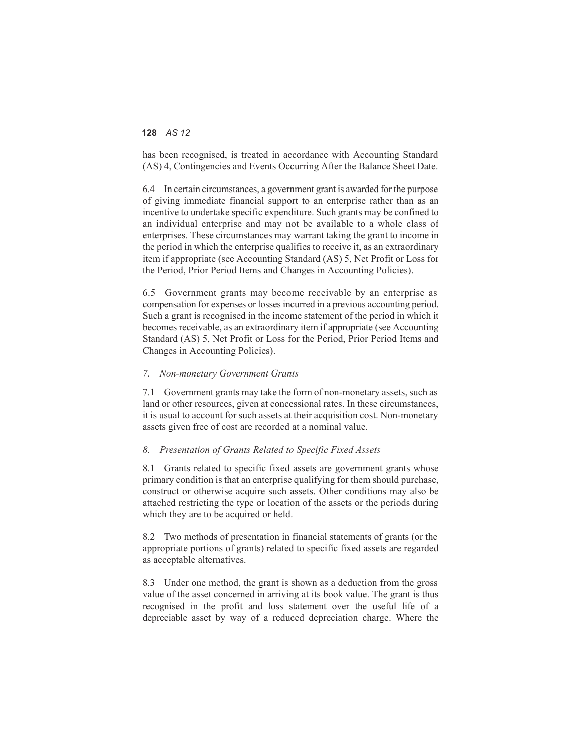has been recognised, is treated in accordance with Accounting Standard (AS) 4, Contingencies and Events Occurring After the Balance Sheet Date.

6.4 In certain circumstances, a government grant is awarded for the purpose of giving immediate financial support to an enterprise rather than as an incentive to undertake specific expenditure. Such grants may be confined to an individual enterprise and may not be available to a whole class of enterprises. These circumstances may warrant taking the grant to income in the period in which the enterprise qualifies to receive it, as an extraordinary item if appropriate (see Accounting Standard (AS) 5, Net Profit or Loss for the Period, Prior Period Items and Changes in Accounting Policies).

6.5 Government grants may become receivable by an enterprise as compensation for expenses or losses incurred in a previous accounting period. Such a grant is recognised in the income statement of the period in which it becomes receivable, as an extraordinary item if appropriate (see Accounting Standard (AS) 5, Net Profit or Loss for the Period, Prior Period Items and Changes in Accounting Policies).

#### *7. Non-monetary Government Grants*

7.1 Government grants may take the form of non-monetary assets, such as land or other resources, given at concessional rates. In these circumstances, it is usual to account for such assets at their acquisition cost. Non-monetary assets given free of cost are recorded at a nominal value.

#### *8. Presentation of Grants Related to Specific Fixed Assets*

8.1 Grants related to specific fixed assets are government grants whose primary condition is that an enterprise qualifying for them should purchase, construct or otherwise acquire such assets. Other conditions may also be attached restricting the type or location of the assets or the periods during which they are to be acquired or held.

8.2 Two methods of presentation in financial statements of grants (or the appropriate portions of grants) related to specific fixed assets are regarded as acceptable alternatives.

8.3 Under one method, the grant is shown as a deduction from the gross value of the asset concerned in arriving at its book value. The grant is thus recognised in the profit and loss statement over the useful life of a depreciable asset by way of a reduced depreciation charge. Where the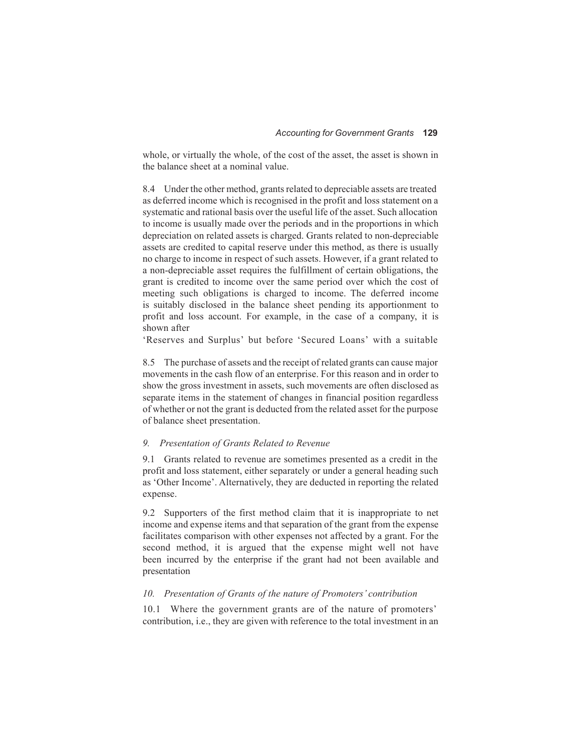whole, or virtually the whole, of the cost of the asset, the asset is shown in the balance sheet at a nominal value.

8.4 Under the other method, grants related to depreciable assets are treated as deferred income which is recognised in the profit and loss statement on a systematic and rational basis over the useful life of the asset. Such allocation to income is usually made over the periods and in the proportions in which depreciation on related assets is charged. Grants related to non-depreciable assets are credited to capital reserve under this method, as there is usually no charge to income in respect of such assets. However, if a grant related to a non-depreciable asset requires the fulfillment of certain obligations, the grant is credited to income over the same period over which the cost of meeting such obligations is charged to income. The deferred income is suitably disclosed in the balance sheet pending its apportionment to profit and loss account. For example, in the case of a company, it is shown after

'Reserves and Surplus' but before 'Secured Loans' with a suitable

8.5 The purchase of assets and the receipt of related grants can cause major movements in the cash flow of an enterprise. For this reason and in order to show the gross investment in assets, such movements are often disclosed as separate items in the statement of changes in financial position regardless of whether or not the grant is deducted from the related asset for the purpose of balance sheet presentation.

#### *9. Presentation of Grants Related to Revenue*

9.1 Grants related to revenue are sometimes presented as a credit in the profit and loss statement, either separately or under a general heading such as 'Other Income'. Alternatively, they are deducted in reporting the related expense.

9.2 Supporters of the first method claim that it is inappropriate to net income and expense items and that separation of the grant from the expense facilitates comparison with other expenses not affected by a grant. For the second method, it is argued that the expense might well not have been incurred by the enterprise if the grant had not been available and presentation

#### *10. Presentation of Grants of the nature of Promoters' contribution*

10.1 Where the government grants are of the nature of promoters' contribution, i.e., they are given with reference to the total investment in an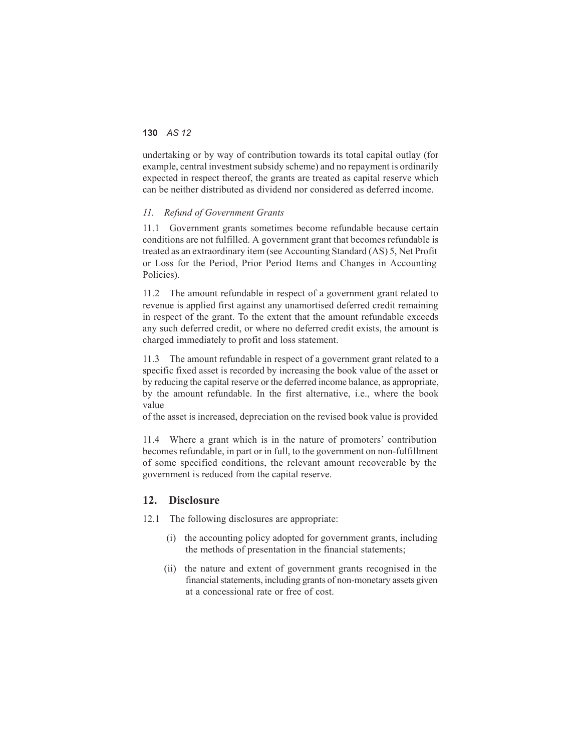undertaking or by way of contribution towards its total capital outlay (for example, central investment subsidy scheme) and no repayment is ordinarily expected in respect thereof, the grants are treated as capital reserve which can be neither distributed as dividend nor considered as deferred income.

#### *11. Refund of Government Grants*

11.1 Government grants sometimes become refundable because certain conditions are not fulfilled. A government grant that becomes refundable is treated as an extraordinary item (see Accounting Standard (AS) 5, Net Profit or Loss for the Period, Prior Period Items and Changes in Accounting Policies).

11.2 The amount refundable in respect of a government grant related to revenue is applied first against any unamortised deferred credit remaining in respect of the grant. To the extent that the amount refundable exceeds any such deferred credit, or where no deferred credit exists, the amount is charged immediately to profit and loss statement.

11.3 The amount refundable in respect of a government grant related to a specific fixed asset is recorded by increasing the book value of the asset or by reducing the capital reserve or the deferred income balance, as appropriate, by the amount refundable. In the first alternative, i.e., where the book value

of the asset is increased, depreciation on the revised book value is provided

11.4 Where a grant which is in the nature of promoters' contribution becomes refundable, in part or in full, to the government on non-fulfillment of some specified conditions, the relevant amount recoverable by the government is reduced from the capital reserve.

#### **12. Disclosure**

12.1 The following disclosures are appropriate:

- (i) the accounting policy adopted for government grants, including the methods of presentation in the financial statements;
- (ii) the nature and extent of government grants recognised in the financial statements, including grants of non-monetary assets given at a concessional rate or free of cost.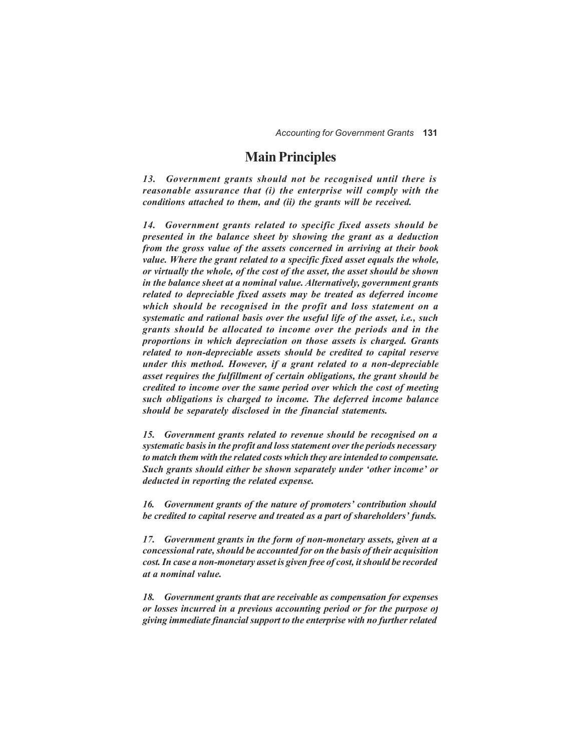## **Main Principles**

*13. Government grants should not be recognised until there is reasonable assurance that (i) the enterprise will comply with the conditions attached to them, and (ii) the grants will be received.*

*14. Government grants related to specific fixed assets should be presented in the balance sheet by showing the grant as a deduction from the gross value of the assets concerned in arriving at their book value. Where the grant related to a specific fixed asset equals the whole, or virtually the whole, of the cost of the asset, the asset should be shown in the balance sheet at a nominal value. Alternatively, government grants related to depreciable fixed assets may be treated as deferred income which should be recognised in the profit and loss statement on a systematic and rational basis over the useful life of the asset, i.e., such grants should be allocated to income over the periods and in the proportions in which depreciation on those assets is charged. Grants related to non-depreciable assets should be credited to capital reserve under this method. However, if a grant related to a non-depreciable asset requires the fulfillment of certain obligations, the grant should be credited to income over the same period over which the cost of meeting such obligations is charged to income. The deferred income balance should be separately disclosed in the financial statements.*

*15. Government grants related to revenue should be recognised on a systematic basis in the profit and loss statement over the periods necessary to match them with the related costs which they are intended to compensate. Such grants should either be shown separately under 'other income' or deducted in reporting the related expense.*

*16. Government grants of the nature of promoters' contribution should be credited to capital reserve and treated as a part of shareholders' funds.*

*17. Government grants in the form of non-monetary assets, given at a concessional rate, should be accounted for on the basis of their acquisition cost. In case a non-monetary asset is given free of cost, it should be recorded at a nominal value.*

*18. Government grants that are receivable as compensation for expenses or losses incurred in a previous accounting period or for the purpose of giving immediate financial support to the enterprise with no further related*